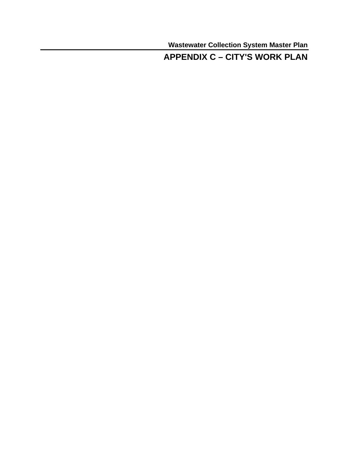**Wastewater Collection System Master Plan** 

## **APPENDIX C – CITY'S WORK PLAN**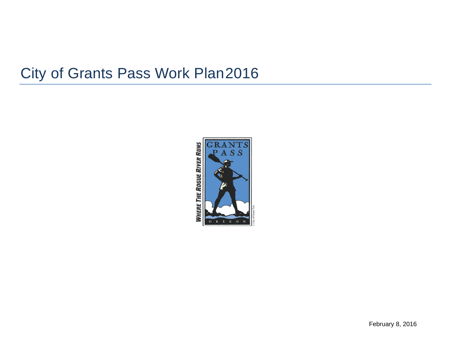# City of Grants Pass Work Plan2016

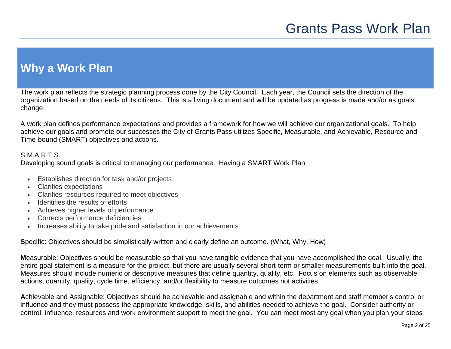# **Why a Work Plan**

The work plan reflects the strategic planning process done by the City Council. Each year, the Council sets the direction of the organization based on the needs of its citizens. This is a living document and will be updated as progress is made and/or as goals change.

A work plan defines performance expectations and provides a framework for how we will achieve our organizational goals. To help achieve our goals and promote our successes the City of Grants Pass utilizes Specific, Measurable, and Achievable, Resource and Time-bound (SMART) objectives and actions.

### S.M.A.R.T.S.

Developing sound goals is critical to managing our performance. Having a SMART Work Plan:

- Establishes direction for task and/or projects
- Clarifies expectations
- Clarifies resources required to meet objectives
- Identifies the results of efforts
- Achieves higher levels of performance
- Corrects performance deficiencies
- Increases ability to take pride and satisfaction in our achievements

**S**pecific: Objectives should be simplistically written and clearly define an outcome. (What, Why, How)

**M**easurable: Objectives should be measurable so that you have tangible evidence that you have accomplished the goal. Usually, the entire goal statement is a measure for the project, but there are usually several short-term or smaller measurements built into the goal. Measures should include numeric or descriptive measures that define quantity, quality, etc. Focus on elements such as observable actions, quantity, quality, cycle time, efficiency, and/or flexibility to measure outcomes not activities.

**A**chievable and Assignable: Objectives should be achievable and assignable and within the department and staff member's control or influence and they must possess the appropriate knowledge, skills, and abilities needed to achieve the goal. Consider authority or control, influence, resources and work environment support to meet the goal. You can meet most any goal when you plan your steps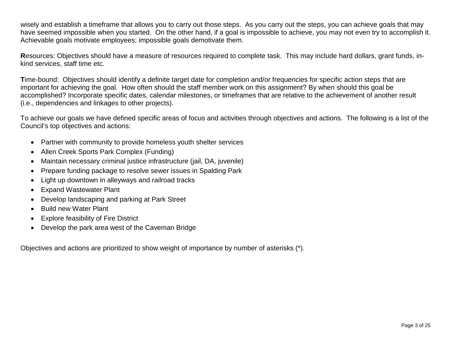wisely and establish a timeframe that allows you to carry out those steps. As you carry out the steps, you can achieve goals that may have seemed impossible when you started. On the other hand, if a goal is impossible to achieve, you may not even try to accomplish it. Achievable goals motivate employees; impossible goals demotivate them.

**R**esources: Objectives should have a measure of resources required to complete task. This may include hard dollars, grant funds, inkind services, staff time etc.

**T**ime-bound: Objectives should identify a definite target date for completion and/or frequencies for specific action steps that are important for achieving the goal. How often should the staff member work on this assignment? By when should this goal be accomplished? Incorporate specific dates, calendar milestones, or timeframes that are relative to the achievement of another result (i.e., dependencies and linkages to other projects).

To achieve our goals we have defined specific areas of focus and activities through objectives and actions. The following is a list of the Council's top objectives and actions:

- Partner with community to provide homeless youth shelter services
- Allen Creek Sports Park Complex (Funding)
- Maintain necessary criminal justice infrastructure (jail, DA, juvenile)
- Prepare funding package to resolve sewer issues in Spalding Park
- Light up downtown in alleyways and railroad tracks
- Expand Wastewater Plant
- Develop landscaping and parking at Park Street
- Build new Water Plant
- Explore feasibility of Fire District
- Develop the park area west of the Caveman Bridge

Objectives and actions are prioritized to show weight of importance by number of asterisks (\*).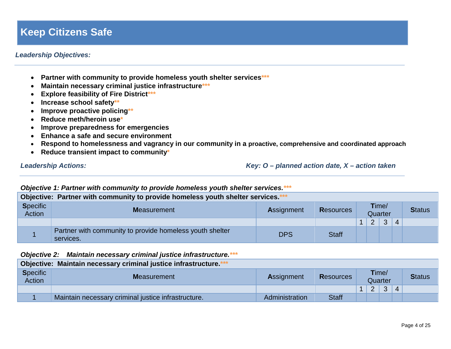## **Keep Citizens Safe**

### *Leadership Objectives:*

- **Partner with community to provide homeless youth shelter services\*\*\***
- **Maintain necessary criminal justice infrastructure\*\*\***
- **Explore feasibility of Fire District\*\*\***
- **Increase school safety\*\***
- **Improve proactive policing\*\***
- **Reduce meth/heroin use\***
- **Improve preparedness for emergencies**
- **Enhance a safe and secure environment**
- **Respond to homelessness and vagrancy in our community in a proactive, comprehensive and coordinated approach**
- **Reduce transient impact to community\***

*Leadership Actions: Key: O – planned action date, X – action taken*

#### *Objective 1: Partner with community to provide homeless youth shelter services.\*\*\**

| Objective: Partner with community to provide homeless youth shelter services.*** |                                                                       |                   |                  |                  |                |              |                |  |  |  |  |
|----------------------------------------------------------------------------------|-----------------------------------------------------------------------|-------------------|------------------|------------------|----------------|--------------|----------------|--|--|--|--|
| <b>Specific</b><br><b>Action</b>                                                 | <b>Measurement</b>                                                    | <b>Assignment</b> | <b>Resources</b> | Time/<br>Quarter |                |              | <b>Status</b>  |  |  |  |  |
|                                                                                  |                                                                       |                   |                  |                  | $\overline{2}$ | $\mathbf{3}$ | $\overline{4}$ |  |  |  |  |
|                                                                                  | Partner with community to provide homeless youth shelter<br>services. | <b>DPS</b>        | <b>Staff</b>     |                  |                |              |                |  |  |  |  |

### *Objective 2: Maintain necessary criminal justice infrastructure.\*\*\**

|                           | Objective: Maintain necessary criminal justice infrastructure.*** |                   |                  |                          |               |
|---------------------------|-------------------------------------------------------------------|-------------------|------------------|--------------------------|---------------|
| <b>Specific</b><br>Action | <b>Measurement</b>                                                | <b>Assignment</b> | <b>Resources</b> | Time/<br>Quarter         | <b>Status</b> |
|                           |                                                                   |                   |                  | 3<br>2<br>$\overline{4}$ |               |
|                           | Maintain necessary criminal justice infrastructure.               | Administration    | <b>Staff</b>     |                          |               |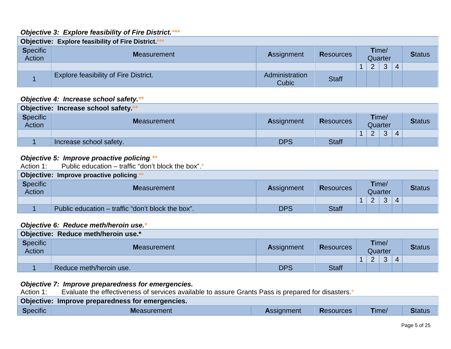### *Objective 3: Explore feasibility of Fire District.\*\*\**

| <b>Objective: Explore feasibility of Fire District.</b> *** |                                       |                         |                  |                  |                |   |   |               |  |  |  |
|-------------------------------------------------------------|---------------------------------------|-------------------------|------------------|------------------|----------------|---|---|---------------|--|--|--|
| <b>Specific</b><br><b>Action</b>                            | <b>Measurement</b>                    | <b>Assignment</b>       | <b>Resources</b> | Time/<br>Quarter |                |   |   | <b>Status</b> |  |  |  |
|                                                             |                                       |                         |                  | $\mathbf{1}$     | $\overline{2}$ | 3 | 4 |               |  |  |  |
|                                                             | Explore feasibility of Fire District. | Administration<br>Cubic | <b>Staff</b>     |                  |                |   |   |               |  |  |  |

### *Objective 4: Increase school safety.\*\**

| Objective: Increase school safety.** |                         |            |                  |  |          |         |                           |  |  |  |  |
|--------------------------------------|-------------------------|------------|------------------|--|----------|---------|---------------------------|--|--|--|--|
| <b>Specific</b><br><b>Action</b>     | <b>Measurement</b>      | Assignment | <b>Resources</b> |  | Time/    | Quarter | <b>Status</b>             |  |  |  |  |
|                                      |                         |            |                  |  | $\Omega$ | 3       | $\boldsymbol{\varLambda}$ |  |  |  |  |
|                                      | Increase school safety. | <b>DPS</b> | <b>Staff</b>     |  |          |         |                           |  |  |  |  |

### *Objective 5: Improve proactive policing.\*\**

Action 1: Public education – traffic "don't block the box".\*

| Objective: Improve proactive policing.* |                                                   |                   |                  |  |          |         |  |               |  |  |  |
|-----------------------------------------|---------------------------------------------------|-------------------|------------------|--|----------|---------|--|---------------|--|--|--|
| <b>Specific</b><br><b>Action</b>        | <b>Measurement</b>                                | <b>Assignment</b> | <b>Resources</b> |  | Time/    | Quarter |  | <b>Status</b> |  |  |  |
|                                         |                                                   |                   |                  |  | $\Omega$ | 3       |  |               |  |  |  |
|                                         | Public education – traffic "don't block the box". | <b>DPS</b>        | <b>Staff</b>     |  |          |         |  |               |  |  |  |

### *Objective 6: Reduce meth/heroin use.\**

|                                  | Objective: Reduce meth/heroin use.* |                   |                  |  |                  |   |                          |               |  |  |  |  |
|----------------------------------|-------------------------------------|-------------------|------------------|--|------------------|---|--------------------------|---------------|--|--|--|--|
| <b>Specific</b><br><b>Action</b> | <b>Measurement</b>                  | <b>Assignment</b> | <b>Resources</b> |  | Time/<br>Quarter |   |                          | <b>Status</b> |  |  |  |  |
|                                  |                                     |                   |                  |  | $\overline{2}$   | 3 | $\boldsymbol{\varDelta}$ |               |  |  |  |  |
|                                  | Reduce meth/heroin use.             | <b>DPS</b>        | <b>Staff</b>     |  |                  |   |                          |               |  |  |  |  |

# **Objective 7: Improve preparedness for emergencies.**<br>Action 1: Evaluate the effectiveness of services availa

**Action 1:** Evaluate the effectiveness of services available to assure Grants Pass is prepared for disasters.\*

|          | Objective: Improve preparedness for emergencies. |                   |                  |       |               |
|----------|--------------------------------------------------|-------------------|------------------|-------|---------------|
| Specific | <b>Measurement</b>                               | <b>Assignment</b> | <b>Resources</b> | Time/ | <b>Status</b> |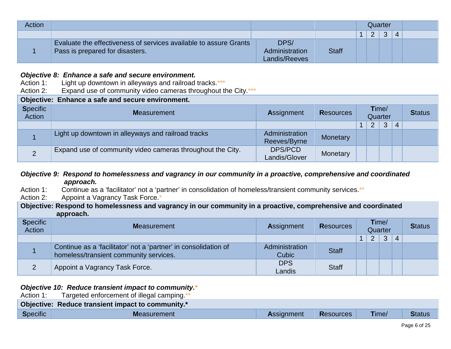| Action |                                                                                                      |                                         |              | Quarter |                |   |   |  |
|--------|------------------------------------------------------------------------------------------------------|-----------------------------------------|--------------|---------|----------------|---|---|--|
|        |                                                                                                      |                                         |              |         | $\overline{2}$ | 3 | 4 |  |
|        | Evaluate the effectiveness of services available to assure Grants<br>Pass is prepared for disasters. | DPS/<br>Administration<br>Landis/Reeves | <b>Staff</b> |         |                |   |   |  |

### *Objective 8: Enhance a safe and secure environment.*

- Action 1: Light up downtown in alleyways and railroad tracks.\*\*\*
- Action 2: Expand use of community video cameras throughout the City.\*\*\*

## **Objective: Enhance a safe and secure environment.**

| <b>Specific</b><br><b>Action</b> | <b>Measurement</b>                                         | <b>Assignment</b>              | <b>Resources</b> | Time/<br>Quarter |                |   |                | <b>Status</b> |
|----------------------------------|------------------------------------------------------------|--------------------------------|------------------|------------------|----------------|---|----------------|---------------|
|                                  |                                                            |                                |                  |                  | $\overline{2}$ | 3 | $\overline{A}$ |               |
|                                  | Light up downtown in alleyways and railroad tracks         | Administration<br>Reeves/Byrne | Monetary         |                  |                |   |                |               |
| $\overline{2}$                   | Expand use of community video cameras throughout the City. | DPS/PCD<br>Landis/Glover       | Monetary         |                  |                |   |                |               |

### *Objective 9: Respond to homelessness and vagrancy in our community in a proactive, comprehensive and coordinated approach.*

- Action 1: Continue as a 'facilitator' not a 'partner' in consolidation of homeless/transient community services.\*\*<br>Action 2: Appoint a Vagrancy Task Force.\*
- Appoint a Vagrancy Task Force.\*

**Objective: Respond to homelessness and vagrancy in our community in a proactive, comprehensive and coordinated approach.** 

| <b>Specific</b><br>Action | <b>Measurement</b>                                                                                        | <b>Assignment</b>       | <b>Resources</b> | Time/<br>Quarter |                |                | <b>Status</b>  |  |
|---------------------------|-----------------------------------------------------------------------------------------------------------|-------------------------|------------------|------------------|----------------|----------------|----------------|--|
|                           |                                                                                                           |                         |                  |                  | $\overline{2}$ | 3 <sup>1</sup> | $\overline{4}$ |  |
|                           | Continue as a 'facilitator' not a 'partner' in consolidation of<br>homeless/transient community services. | Administration<br>Cubic | <b>Staff</b>     |                  |                |                |                |  |
|                           | Appoint a Vagrancy Task Force.                                                                            | <b>DPS</b><br>Landis    | <b>Staff</b>     |                  |                |                |                |  |

### *Objective 10: Reduce transient impact to community.\**

Action 1: Targeted enforcement of illegal camping.<sup>\*</sup>

|          | Objective: Reduce transient impact to community.* |                   |                  |       |               |
|----------|---------------------------------------------------|-------------------|------------------|-------|---------------|
| Specific | Measurement                                       | <b>Assignment</b> | <b>Resources</b> | Time/ | <b>Status</b> |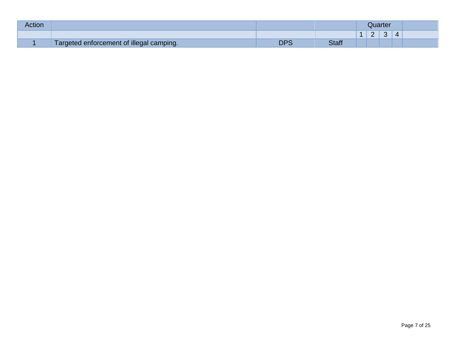| Action |                                          |             |       | Juarter<br>$\sim$<br>$\sim$ |   |  |  |  |
|--------|------------------------------------------|-------------|-------|-----------------------------|---|--|--|--|
|        |                                          |             |       |                             | - |  |  |  |
|        | Targeted enforcement of illegal camping. | nnc<br>יו ש | Staff |                             |   |  |  |  |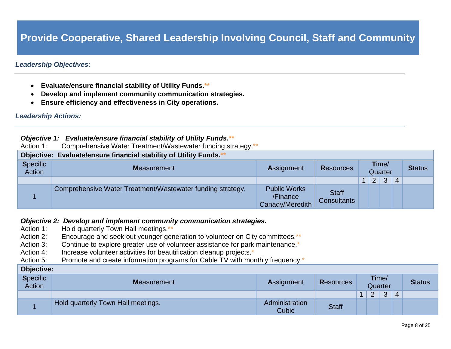# **Provide Cooperative, Shared Leadership Involving Council, Staff and Community**

### *Leadership Objectives:*

- **Evaluate/ensure financial stability of Utility Funds.\*\***
- **Develop and implement community communication strategies.**
- **Ensure efficiency and effectiveness in City operations.**

### *Leadership Actions:*

### *Objective 1: Evaluate/ensure financial stability of Utility Funds.\*\**

Action 1: Comprehensive Water Treatment/Wastewater funding strategy.\*\*

|                           | Objective: Evaluate/ensure financial stability of Utility Funds.** |                                                    |                                    |                      |                |                  |                |               |
|---------------------------|--------------------------------------------------------------------|----------------------------------------------------|------------------------------------|----------------------|----------------|------------------|----------------|---------------|
| <b>Specific</b><br>Action | <b>Measurement</b>                                                 | Assignment                                         | <b>Resources</b>                   |                      |                | Time/<br>Quarter |                | <b>Status</b> |
|                           |                                                                    |                                                    |                                    | $\blacktriangleleft$ | $\overline{2}$ | 3                | $\overline{4}$ |               |
|                           | Comprehensive Water Treatment/Wastewater funding strategy.         | <b>Public Works</b><br>/Finance<br>Canady/Meredith | <b>Staff</b><br><b>Consultants</b> |                      |                |                  |                |               |

### *Objective 2: Develop and implement community communication strategies.*

- Action 1: Hold quarterly Town Hall meetings.\*\*
- Action 2: Encourage and seek out younger generation to volunteer on City committees.\*\*
- Action 3: Continue to explore greater use of volunteer assistance for park maintenance.<sup>\*</sup>
- Action 4: Increase volunteer activities for beautification cleanup projects.<sup>\*</sup>
- Action 5: Promote and create information programs for Cable TV with monthly frequency.<sup>\*</sup>

#### **Objective:**

| <b>Specific</b><br><b>Action</b> | <b>Measurement</b>                 | <b>Assignment</b>              | <b>Resources</b> |        | Time/<br>Quarter |   | <b>Status</b> |
|----------------------------------|------------------------------------|--------------------------------|------------------|--------|------------------|---|---------------|
|                                  |                                    |                                |                  | 2<br>- | 3                | 4 |               |
|                                  | Hold quarterly Town Hall meetings. | Administration<br><b>Cubic</b> | <b>Staff</b>     |        |                  |   |               |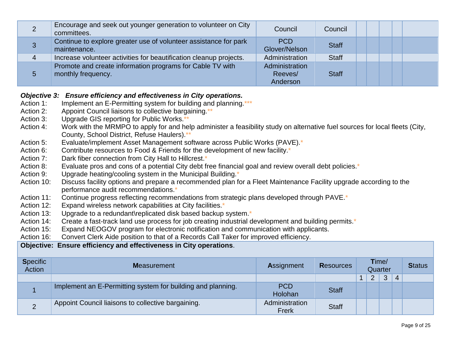| 2 | Encourage and seek out younger generation to volunteer on City<br>committees.    | Council                               | Council      |  |
|---|----------------------------------------------------------------------------------|---------------------------------------|--------------|--|
| 3 | Continue to explore greater use of volunteer assistance for park<br>maintenance. | <b>PCD</b><br>Glover/Nelson           | <b>Staff</b> |  |
| 4 | Increase volunteer activities for beautification cleanup projects.               | Administration                        | <b>Staff</b> |  |
| 5 | Promote and create information programs for Cable TV with<br>monthly frequency.  | Administration<br>Reeves/<br>Anderson | <b>Staff</b> |  |

### *Objective 3: Ensure efficiency and effectiveness in City operations.*

- Action 1: Implement an E-Permitting system for building and planning.\*\*\*
- Action 2: Appoint Council liaisons to collective bargaining.\*\*
- Action 3: Upgrade GIS reporting for Public Works.\*
- Action 4: Work with the MRMPO to apply for and help administer a feasibility study on alternative fuel sources for local fleets (City, County, School District, Refuse Haulers).\*\*
- Action 5: Evaluate/implement Asset Management software across Public Works (PAVE).\*
- Action 6: Contribute resources to Food & Friends for the development of new facility.<sup>\*</sup>
- Action 7: Dark fiber connection from City Hall to Hillcrest.\*
- Action 8: Evaluate pros and cons of a potential City debt free financial goal and review overall debt policies.<sup>\*</sup>
- Action 9: Upgrade heating/cooling system in the Municipal Building.<sup>\*</sup>
- Action 10: Discuss facility options and prepare a recommended plan for a Fleet Maintenance Facility upgrade according to the performance audit recommendations.\*
- Action 11: Continue progress reflecting recommendations from strategic plans developed through PAVE.<sup>\*</sup>
- Action 12: Expand wireless network capabilities at City facilities.\*
- Action 13: Upgrade to a redundant\replicated disk based backup system.<sup>\*</sup>
- Action 14: Create a fast-track land use process for job creating industrial development and building permits.<sup>\*</sup>
- Action 15: Expand NEOGOV program for electronic notification and communication with applicants.
- Action 16: Convert Clerk Aide position to that of a Records Call Taker for improved efficiency.

### **Objective: Ensure efficiency and effectiveness in City operations**.

| <b>Specific</b><br><b>Action</b> | <b>Measurement</b>                                          | <b>Assignment</b>       | <b>Resources</b> | Time/ | Quarter |                | <b>Status</b> |
|----------------------------------|-------------------------------------------------------------|-------------------------|------------------|-------|---------|----------------|---------------|
|                                  |                                                             |                         |                  |       | 3       | $\overline{4}$ |               |
|                                  | Implement an E-Permitting system for building and planning. | <b>PCD</b><br>Holohan   | <b>Staff</b>     |       |         |                |               |
| $\Omega$                         | Appoint Council liaisons to collective bargaining.          | Administration<br>Frerk | <b>Staff</b>     |       |         |                |               |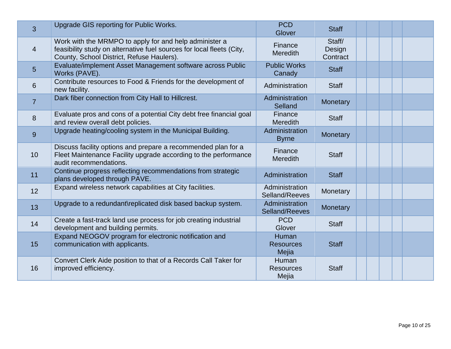| 3               | Upgrade GIS reporting for Public Works.                                                                                                                                      | <b>PCD</b><br>Glover               | <b>Staff</b>                 |  |  |  |
|-----------------|------------------------------------------------------------------------------------------------------------------------------------------------------------------------------|------------------------------------|------------------------------|--|--|--|
| $\overline{4}$  | Work with the MRMPO to apply for and help administer a<br>feasibility study on alternative fuel sources for local fleets (City,<br>County, School District, Refuse Haulers). | Finance<br><b>Meredith</b>         | Staff/<br>Design<br>Contract |  |  |  |
| 5               | Evaluate/implement Asset Management software across Public<br>Works (PAVE).                                                                                                  | <b>Public Works</b><br>Canady      | <b>Staff</b>                 |  |  |  |
| 6               | Contribute resources to Food & Friends for the development of<br>new facility.                                                                                               | Administration                     | <b>Staff</b>                 |  |  |  |
| $\overline{7}$  | Dark fiber connection from City Hall to Hillcrest.                                                                                                                           | Administration<br>Selland          | Monetary                     |  |  |  |
| 8               | Evaluate pros and cons of a potential City debt free financial goal<br>and review overall debt policies.                                                                     | Finance<br><b>Meredith</b>         | <b>Staff</b>                 |  |  |  |
| 9               | Upgrade heating/cooling system in the Municipal Building.                                                                                                                    | Administration<br><b>Byrne</b>     | Monetary                     |  |  |  |
| 10 <sup>°</sup> | Discuss facility options and prepare a recommended plan for a<br>Fleet Maintenance Facility upgrade according to the performance<br>audit recommendations.                   | Finance<br><b>Meredith</b>         | <b>Staff</b>                 |  |  |  |
| 11              | Continue progress reflecting recommendations from strategic<br>plans developed through PAVE.                                                                                 | Administration                     | <b>Staff</b>                 |  |  |  |
| 12              | Expand wireless network capabilities at City facilities.                                                                                                                     | Administration<br>Selland/Reeves   | Monetary                     |  |  |  |
| 13              | Upgrade to a redundant\replicated disk based backup system.                                                                                                                  | Administration<br>Selland/Reeves   | Monetary                     |  |  |  |
| 14              | Create a fast-track land use process for job creating industrial<br>development and building permits.                                                                        | <b>PCD</b><br>Glover               | <b>Staff</b>                 |  |  |  |
| 15              | Expand NEOGOV program for electronic notification and<br>communication with applicants.                                                                                      | Human<br><b>Resources</b><br>Mejia | <b>Staff</b>                 |  |  |  |
| 16              | Convert Clerk Aide position to that of a Records Call Taker for<br>improved efficiency.                                                                                      | Human<br><b>Resources</b><br>Mejia | <b>Staff</b>                 |  |  |  |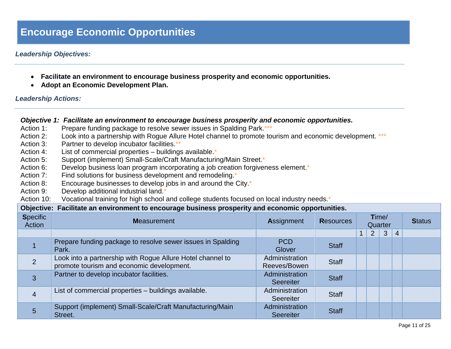## **Encourage Economic Opportunities**

### *Leadership Objectives:*

- **Facilitate an environment to encourage business prosperity and economic opportunities.**
- **Adopt an Economic Development Plan.**

### *Leadership Actions:*

### *Objective 1: Facilitate an environment to encourage business prosperity and economic opportunities.*

- Action 1: Prepare funding package to resolve sewer issues in Spalding Park.\*\*\*
- Action 2: Look into a partnership with Rogue Allure Hotel channel to promote tourism and economic development. \*\*\*
- Action 3: Partner to develop incubator facilities.\*\*
- Action 4: List of commercial properties buildings available.<sup>\*</sup>
- Action 5: Support (implement) Small-Scale/Craft Manufacturing/Main Street.\*
- Action 6: Develop business loan program incorporating a job creation forgiveness element.<sup>\*</sup>
- Action 7: Find solutions for business development and remodeling.<sup>\*</sup>
- Action 8: Encourage businesses to develop jobs in and around the City.<sup>\*</sup>
- Action 9: Develop additional industrial land.<sup>\*</sup>
- Action 10: Vocational training for high school and college students focused on local industry needs.\*

|                           | Objective: Facilitate an environment to encourage business prosperity and economic opportunities.       |                                    |                  |  |                  |              |                |  |  |  |  |  |  |  |               |
|---------------------------|---------------------------------------------------------------------------------------------------------|------------------------------------|------------------|--|------------------|--------------|----------------|--|--|--|--|--|--|--|---------------|
| <b>Specific</b><br>Action | <b>Measurement</b>                                                                                      | <b>Assignment</b>                  | <b>Resources</b> |  | Time/<br>Quarter |              |                |  |  |  |  |  |  |  | <b>Status</b> |
|                           |                                                                                                         |                                    |                  |  | $2^{\circ}$      | $\mathbf{3}$ | $\overline{4}$ |  |  |  |  |  |  |  |               |
|                           | Prepare funding package to resolve sewer issues in Spalding<br>Park.                                    | <b>PCD</b><br>Glover               | <b>Staff</b>     |  |                  |              |                |  |  |  |  |  |  |  |               |
| 2                         | Look into a partnership with Rogue Allure Hotel channel to<br>promote tourism and economic development. | Administration<br>Reeves/Bowen     | <b>Staff</b>     |  |                  |              |                |  |  |  |  |  |  |  |               |
| 3                         | Partner to develop incubator facilities.                                                                | Administration<br><b>Seereiter</b> | <b>Staff</b>     |  |                  |              |                |  |  |  |  |  |  |  |               |
| $\overline{4}$            | List of commercial properties - buildings available.                                                    | Administration<br>Seereiter        | <b>Staff</b>     |  |                  |              |                |  |  |  |  |  |  |  |               |
| 5                         | Support (implement) Small-Scale/Craft Manufacturing/Main<br>Street.                                     | Administration<br><b>Seereiter</b> | <b>Staff</b>     |  |                  |              |                |  |  |  |  |  |  |  |               |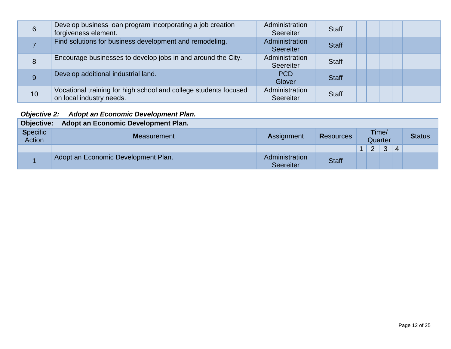| 6  | Develop business loan program incorporating a job creation<br>forgiveness element.           | Administration<br>Seereiter        | <b>Staff</b> |  |  |
|----|----------------------------------------------------------------------------------------------|------------------------------------|--------------|--|--|
|    | Find solutions for business development and remodeling.                                      | Administration<br><b>Seereiter</b> | <b>Staff</b> |  |  |
| 8  | Encourage businesses to develop jobs in and around the City.                                 | Administration<br>Seereiter        | <b>Staff</b> |  |  |
| 9  | Develop additional industrial land.                                                          | <b>PCD</b><br><b>Glover</b>        | <b>Staff</b> |  |  |
| 10 | Vocational training for high school and college students focused<br>on local industry needs. | Administration<br>Seereiter        | <b>Staff</b> |  |  |

### *Objective 2: Adopt an Economic Development Plan.*

| <b>Objective:</b>                | Adopt an Economic Development Plan. |                                    |                  |               |                  |   |               |
|----------------------------------|-------------------------------------|------------------------------------|------------------|---------------|------------------|---|---------------|
| <b>Specific</b><br><b>Action</b> | <b>Measurement</b>                  | <b>Assignment</b>                  | <b>Resources</b> |               | Time/<br>Quarter |   | <b>Status</b> |
|                                  |                                     |                                    |                  | $\mathcal{P}$ | 3                | 4 |               |
|                                  | Adopt an Economic Development Plan. | Administration<br><b>Seereiter</b> | <b>Staff</b>     |               |                  |   |               |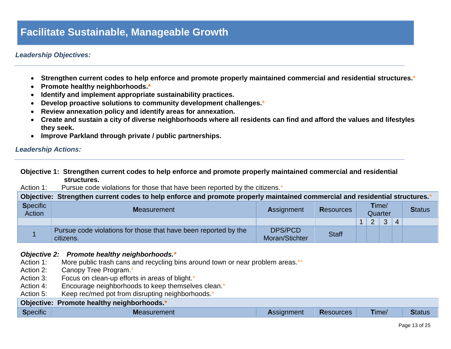## **Facilitate Sustainable, Manageable Growth**

### *Leadership Objectives:*

- **Strengthen current codes to help enforce and promote properly maintained commercial and residential structures.\***
- **Promote healthy neighborhoods.\***
- **Identify and implement appropriate sustainability practices.**
- **Develop proactive solutions to community development challenges.\***
- **Review annexation policy and identify areas for annexation.**
- **Create and sustain a city of diverse neighborhoods where all residents can find and afford the values and lifestyles they seek.**
- **Improve Parkland through private / public partnerships.**

#### *Leadership Actions:*

### **Objective 1: Strengthen current codes to help enforce and promote properly maintained commercial and residential structures.**

Action 1: Pursue code violations for those that have been reported by the citizens.<sup>\*</sup>

|                           | Objective: Strengthen current codes to help enforce and promote properly maintained commercial and residential structures. |                           |                  |                  |   |              |                |  |  |               |
|---------------------------|----------------------------------------------------------------------------------------------------------------------------|---------------------------|------------------|------------------|---|--------------|----------------|--|--|---------------|
| <b>Specific</b><br>Action | <b>Measurement</b>                                                                                                         | Assignment                | <b>Resources</b> | Time/<br>Quarter |   |              |                |  |  | <b>Status</b> |
|                           |                                                                                                                            |                           |                  |                  | 2 | $\mathbf{3}$ | $\overline{4}$ |  |  |               |
|                           | Pursue code violations for those that have been reported by the<br>citizens.                                               | DPS/PCD<br>Moran/Stichter | <b>Staff</b>     |                  |   |              |                |  |  |               |

# *Objective 2: Promote healthy neighborhoods.\**

- More public trash cans and recycling bins around town or near problem areas.\*\*
- Action 2: Canopy Tree Program.\*
- Action 3: Focus on clean-up efforts in areas of blight.<sup>\*</sup>
- Action 4: Encourage neighborhoods to keep themselves clean.<sup>\*</sup>
- Action 5: Keep rec/med pot from disrupting neighborhoods.\*

#### **Objective: Promote healthy neighborhoods.\***

| $\sim$ $\sim$ $\sim$<br><b>Specific</b> | <b>Measurement</b> | Assignment | <b>Resources</b> | Time/ | <b>Status</b> |
|-----------------------------------------|--------------------|------------|------------------|-------|---------------|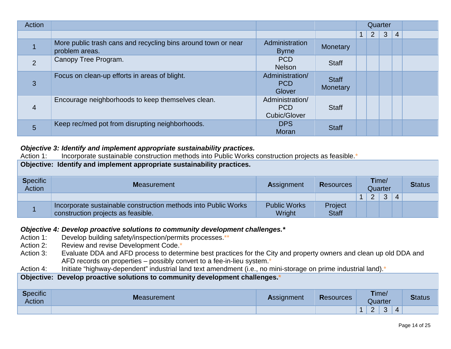| Action         |                                                                                 |                                                      |                          |              |                | Quarter      |                |  |
|----------------|---------------------------------------------------------------------------------|------------------------------------------------------|--------------------------|--------------|----------------|--------------|----------------|--|
|                |                                                                                 |                                                      |                          | $\mathbf{1}$ | $\overline{2}$ | $\mathbf{3}$ | $\overline{4}$ |  |
|                | More public trash cans and recycling bins around town or near<br>problem areas. | Administration<br><b>Byrne</b>                       | Monetary                 |              |                |              |                |  |
| 2              | Canopy Tree Program.                                                            | PCD<br><b>Nelson</b>                                 | <b>Staff</b>             |              |                |              |                |  |
| 3              | Focus on clean-up efforts in areas of blight.                                   | Administration/<br><b>PCD</b><br>Glover              | <b>Staff</b><br>Monetary |              |                |              |                |  |
| $\overline{4}$ | Encourage neighborhoods to keep themselves clean.                               | Administration/<br><b>PCD</b><br><b>Cubic/Glover</b> | <b>Staff</b>             |              |                |              |                |  |
| 5              | Keep rec/med pot from disrupting neighborhoods.                                 | <b>DPS</b><br>Moran                                  | <b>Staff</b>             |              |                |              |                |  |

### *Objective 3: Identify and implement appropriate sustainability practices.*

| Action 1:                                                               | Incorporate sustainable construction methods into Public Works construction projects as feasible.    |                               |                         |   |                  |               |                |  |  |  |
|-------------------------------------------------------------------------|------------------------------------------------------------------------------------------------------|-------------------------------|-------------------------|---|------------------|---------------|----------------|--|--|--|
| Objective: Identify and implement appropriate sustainability practices. |                                                                                                      |                               |                         |   |                  |               |                |  |  |  |
| <b>Specific</b><br>Action                                               | <b>Measurement</b>                                                                                   | <b>Assignment</b>             | <b>Resources</b>        |   | Time/<br>Quarter | <b>Status</b> |                |  |  |  |
|                                                                         |                                                                                                      |                               |                         | 1 | 2                | 3             | $\overline{4}$ |  |  |  |
|                                                                         | Incorporate sustainable construction methods into Public Works<br>construction projects as feasible. | <b>Public Works</b><br>Wright | Project<br><b>Staff</b> |   |                  |               |                |  |  |  |

# *Objective 4: Develop proactive solutions to community development challenges.\****<br>Action 1: Develop building safety/inspection/permits processes.\*\***

- Develop building safety/inspection/permits processes.\*\*
- Action 2: Review and revise Development Code.\*
- Action 3: Evaluate DDA and AFD process to determine best practices for the City and property owners and clean up old DDA and AFD records on properties – possibly convert to a fee-in-lieu system.\*
- Action 4: Initiate "highway-dependent" industrial land text amendment (i.e., no mini-storage on prime industrial land).\*

### **Objective: Develop proactive solutions to community development challenges.\***

| <b>Specific</b><br>Action | <b>Measurement</b> | <b>Assignment</b> | <b>Resources</b> | Time/<br>Quarter                 | <b>Status</b> |
|---------------------------|--------------------|-------------------|------------------|----------------------------------|---------------|
|                           |                    |                   |                  | $\sim$<br>$\sim$<br>4<br>ັບ<br>- |               |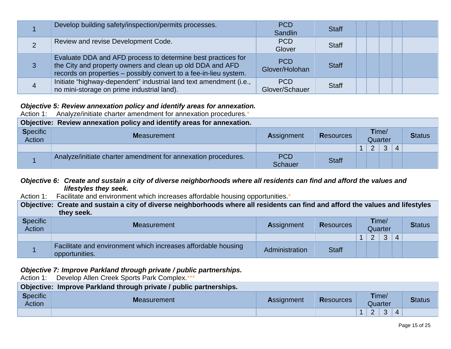|                | Develop building safety/inspection/permits processes.                                                                                                                                          | <b>PCD</b><br>Sandlin        | <b>Staff</b> |  |
|----------------|------------------------------------------------------------------------------------------------------------------------------------------------------------------------------------------------|------------------------------|--------------|--|
| 2              | Review and revise Development Code.                                                                                                                                                            | <b>PCD</b><br>Glover         | <b>Staff</b> |  |
| 3              | Evaluate DDA and AFD process to determine best practices for<br>the City and property owners and clean up old DDA and AFD<br>records on properties - possibly convert to a fee-in-lieu system. | <b>PCD</b><br>Glover/Holohan | <b>Staff</b> |  |
| $\overline{4}$ | Initiate "highway-dependent" industrial land text amendment (i.e.,<br>no mini-storage on prime industrial land).                                                                               | <b>PCD</b><br>Glover/Schauer | <b>Staff</b> |  |

### *Objective 5: Review annexation policy and identify areas for annexation.*

Action 1: Analyze/initiate charter amendment for annexation procedures.<sup>\*</sup>

| Objective: Review annexation policy and identify areas for annexation. |                                                               |                              |                  |  |       |         |          |               |  |  |
|------------------------------------------------------------------------|---------------------------------------------------------------|------------------------------|------------------|--|-------|---------|----------|---------------|--|--|
| <b>Specific</b><br>Action                                              | <b>Measurement</b>                                            | <b>Assignment</b>            | <b>Resources</b> |  | Time/ | Quarter |          | <b>Status</b> |  |  |
|                                                                        |                                                               |                              |                  |  | 2     | 3       | $\Delta$ |               |  |  |
|                                                                        | Analyze/initiate charter amendment for annexation procedures. | <b>PCD</b><br><b>Schauer</b> | <b>Staff</b>     |  |       |         |          |               |  |  |

### *Objective 6: Create and sustain a city of diverse neighborhoods where all residents can find and afford the values and lifestyles they seek.*

Action 1: Facilitate and environment which increases affordable housing opportunities.\*

**Objective: Create and sustain a city of diverse neighborhoods where all residents can find and afford the values and lifestyles they seek.**

| <b>Specific</b><br><b>Action</b> | <b>Measurement</b>                                                              | <b>Assignment</b> | <b>Resources</b> | Time/<br>Quarter |                |   | <b>Status</b> |  |
|----------------------------------|---------------------------------------------------------------------------------|-------------------|------------------|------------------|----------------|---|---------------|--|
|                                  |                                                                                 |                   |                  |                  | $\overline{2}$ | 3 | 4             |  |
|                                  | Facilitate and environment which increases affordable housing<br>opportunities. | Administration    | <b>Staff</b>     |                  |                |   |               |  |

*Objective 7: Improve Parkland through private / public partnerships.*

Action 1: Develop Allen Creek Sports Park Complex.\*\*\*

| Objective: Improve Parkland through private / public partnerships. |             |                   |                  |  |                  |  |                |               |  |  |  |  |
|--------------------------------------------------------------------|-------------|-------------------|------------------|--|------------------|--|----------------|---------------|--|--|--|--|
| <b>Specific</b><br>Action                                          | Measurement | <b>Assignment</b> | <b>Resources</b> |  | Time/<br>Quarter |  |                | <b>Status</b> |  |  |  |  |
|                                                                    |             |                   |                  |  | $2 \mid 3$       |  | $\overline{4}$ |               |  |  |  |  |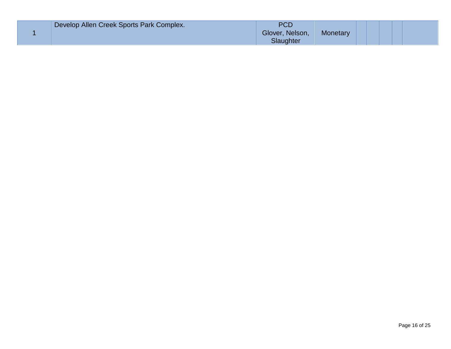| Develop Allen Creek Sports Park Complex. | PCD<br>Glover, Nelson,<br>Slaughter | Monetary |  |  |  |
|------------------------------------------|-------------------------------------|----------|--|--|--|
|------------------------------------------|-------------------------------------|----------|--|--|--|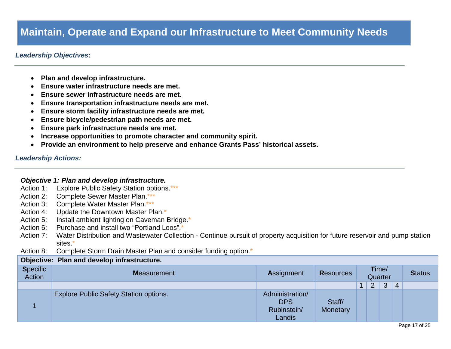## **Maintain, Operate and Expand our Infrastructure to Meet Community Needs**

### *Leadership Objectives:*

- **Plan and develop infrastructure.**
- **Ensure water infrastructure needs are met.**
- **Ensure sewer infrastructure needs are met.**
- **Ensure transportation infrastructure needs are met.**
- **Ensure storm facility infrastructure needs are met.**
- **Ensure bicycle/pedestrian path needs are met.**
- **Ensure park infrastructure needs are met.**
- **Increase opportunities to promote character and community spirit.**
- **Provide an environment to help preserve and enhance Grants Pass' historical assets.**

#### *Leadership Actions:*

### *Objective 1: Plan and develop infrastructure.*

- Action 1: Explore Public Safety Station options.\*\*\*
- Action 2: Complete Sewer Master Plan.\*\*\*
- Action 3: Complete Water Master Plan.\*\*\*
- Action 4: Update the Downtown Master Plan.\*
- Action 5: Install ambient lighting on Caveman Bridge.\*
- Action 6: Purchase and install two "Portland Loos".<sup>\*</sup>
- Action 7: Water Distribution and Wastewater Collection Continue pursuit of property acquisition for future reservoir and pump station sites.\*
- Action 8: Complete Storm Drain Master Plan and consider funding option.<sup>\*</sup>

#### **Objective: Plan and develop infrastructure.**

| <b>Specific</b><br>Action | <b>Measurement</b>                            | Assignment                                             | <b>Resources</b>   | Time/<br>Quarter |                |   | <b>Status</b> |  |
|---------------------------|-----------------------------------------------|--------------------------------------------------------|--------------------|------------------|----------------|---|---------------|--|
|                           |                                               |                                                        |                    |                  | $\overline{2}$ | 3 | 4             |  |
|                           | <b>Explore Public Safety Station options.</b> | Administration/<br><b>DPS</b><br>Rubinstein/<br>Landis | Staff/<br>Monetary |                  |                |   |               |  |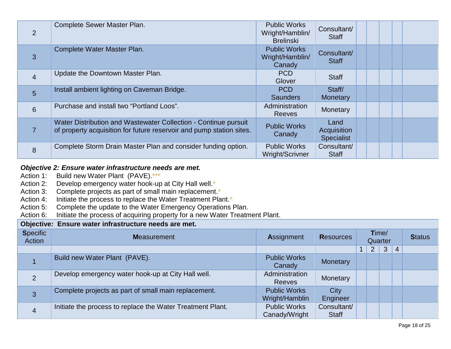| $\overline{2}$ | Complete Sewer Master Plan.                                                                                                             | <b>Public Works</b><br>Wright/Hamblin/<br><b>Brelinski</b> | Consultant/<br><b>Staff</b>              |  |  |  |
|----------------|-----------------------------------------------------------------------------------------------------------------------------------------|------------------------------------------------------------|------------------------------------------|--|--|--|
| 3              | Complete Water Master Plan.                                                                                                             | <b>Public Works</b><br>Wright/Hamblin/<br>Canady           | Consultant/<br><b>Staff</b>              |  |  |  |
| $\overline{4}$ | Update the Downtown Master Plan.                                                                                                        | <b>PCD</b><br>Glover                                       | <b>Staff</b>                             |  |  |  |
| 5              | Install ambient lighting on Caveman Bridge.                                                                                             | <b>PCD</b><br><b>Saunders</b>                              | Staff/<br><b>Monetary</b>                |  |  |  |
| 6              | Purchase and install two "Portland Loos".                                                                                               | Administration<br><b>Reeves</b>                            | Monetary                                 |  |  |  |
|                | Water Distribution and Wastewater Collection - Continue pursuit<br>of property acquisition for future reservoir and pump station sites. | <b>Public Works</b><br>Canady                              | Land<br>Acquisition<br><b>Specialist</b> |  |  |  |
| 8              | Complete Storm Drain Master Plan and consider funding option.                                                                           | <b>Public Works</b><br>Wright/Scrivner                     | Consultant/<br><b>Staff</b>              |  |  |  |

### *Objective 2: Ensure water infrastructure needs are met.*

- Action 1: Build new Water Plant (PAVE).\*\*\*<br>Action 2: Develop emergency water hook-up
- Develop emergency water hook-up at City Hall well.\*
- Action 3: Complete projects as part of small main replacement.<sup>\*</sup>
- Action 4: Initiate the process to replace the Water Treatment Plant.\*
- Action 5: Complete the update to the Water Emergency Operations Plan.<br>Action 6: Initiate the process of acquiring property for a new Water Treatm
- Initiate the process of acquiring property for a new Water Treatment Plant.

### **Objective: Ensure water infrastructure needs are met.**

| <b>Specific</b><br>Action | <b>Measurement</b>                                         | <b>Assignment</b>                     | <b>Resources</b>            |             | Time/<br>Quarter |   | <b>Status</b>  |  |
|---------------------------|------------------------------------------------------------|---------------------------------------|-----------------------------|-------------|------------------|---|----------------|--|
|                           |                                                            |                                       |                             | $\mathbf 1$ | $\overline{2}$   | 3 | $\overline{4}$ |  |
|                           | Build new Water Plant (PAVE).                              | <b>Public Works</b><br>Canady         | Monetary                    |             |                  |   |                |  |
| 2                         | Develop emergency water hook-up at City Hall well.         | Administration<br><b>Reeves</b>       | Monetary                    |             |                  |   |                |  |
| 3                         | Complete projects as part of small main replacement.       | <b>Public Works</b><br>Wright/Hamblin | City<br>Engineer            |             |                  |   |                |  |
| $\overline{4}$            | Initiate the process to replace the Water Treatment Plant. | <b>Public Works</b><br>Canady/Wright  | Consultant/<br><b>Staff</b> |             |                  |   |                |  |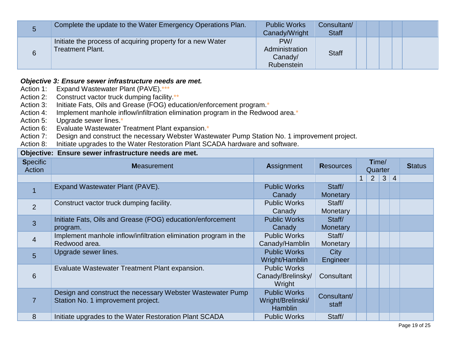| 5 | Complete the update to the Water Emergency Operations Plan.                           | <b>Public Works</b><br>Canady/Wright           | Consultant/<br><b>Staff</b> |  |
|---|---------------------------------------------------------------------------------------|------------------------------------------------|-----------------------------|--|
| 6 | Initiate the process of acquiring property for a new Water<br><b>Treatment Plant.</b> | PW/<br>Administration<br>Canady/<br>Rubenstein | <b>Staff</b>                |  |

### *Objective 3: Ensure sewer infrastructure needs are met.*

Action 1: Expand Wastewater Plant (PAVE).\*\*\*

Action 2: Construct vactor truck dumping facility.\*\*<br>Action 3: Initiate Fats. Oils and Grease (FOG) edu

Initiate Fats, Oils and Grease (FOG) education/enforcement program.\*

Action 4: Implement manhole inflow/infiltration elimination program in the Redwood area.\*

Action 5: Upgrade sewer lines.\*

Action 6: Evaluate Wastewater Treatment Plant expansion.\*

Action 7: Design and construct the necessary Webster Wastewater Pump Station No. 1 improvement project.<br>Action 8: Initiate upgrades to the Water Restoration Plant SCADA hardware and software.

Initiate upgrades to the Water Restoration Plant SCADA hardware and software.

| Objective: Ensure sewer infrastructure needs are met. |                                                                                                  |                                                            |                           |   |                  |   |                |               |  |  |  |
|-------------------------------------------------------|--------------------------------------------------------------------------------------------------|------------------------------------------------------------|---------------------------|---|------------------|---|----------------|---------------|--|--|--|
| <b>Specific</b><br>Action                             | <b>Measurement</b>                                                                               | <b>Assignment</b>                                          | <b>Resources</b>          |   | Time/<br>Quarter |   |                | <b>Status</b> |  |  |  |
|                                                       |                                                                                                  |                                                            |                           | 1 | 2                | 3 | $\overline{4}$ |               |  |  |  |
| $\overline{1}$                                        | Expand Wastewater Plant (PAVE).                                                                  | <b>Public Works</b><br>Canady                              | Staff/<br><b>Monetary</b> |   |                  |   |                |               |  |  |  |
| 2                                                     | Construct vactor truck dumping facility.                                                         | <b>Public Works</b><br>Canady                              | Staff/<br>Monetary        |   |                  |   |                |               |  |  |  |
| 3                                                     | Initiate Fats, Oils and Grease (FOG) education/enforcement<br>program.                           | <b>Public Works</b><br>Canady                              | Staff/<br><b>Monetary</b> |   |                  |   |                |               |  |  |  |
| $\overline{4}$                                        | Implement manhole inflow/infiltration elimination program in the<br>Redwood area.                | <b>Public Works</b><br>Canady/Hamblin                      | Staff/<br>Monetary        |   |                  |   |                |               |  |  |  |
| 5                                                     | Upgrade sewer lines.                                                                             | <b>Public Works</b><br>Wright/Hamblin                      | City<br>Engineer          |   |                  |   |                |               |  |  |  |
| 6                                                     | Evaluate Wastewater Treatment Plant expansion.                                                   | <b>Public Works</b><br>Canady/Brelinsky/<br>Wright         | Consultant                |   |                  |   |                |               |  |  |  |
| $\overline{7}$                                        | Design and construct the necessary Webster Wastewater Pump<br>Station No. 1 improvement project. | <b>Public Works</b><br>Wright/Brelinski/<br><b>Hamblin</b> | Consultant/<br>staff      |   |                  |   |                |               |  |  |  |
| 8                                                     | Initiate upgrades to the Water Restoration Plant SCADA                                           | <b>Public Works</b>                                        | Staff/                    |   |                  |   |                |               |  |  |  |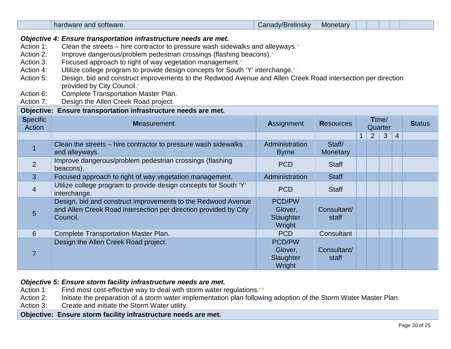|                                                                                                                                                                                                                                                                                                                                                                                                                                                                                                                                                                                                                                                                                                     | hardware and software.                                                                                                                       | Canady/Brelinsky                                | Monetary             |              |         |              |                |               |  |  |
|-----------------------------------------------------------------------------------------------------------------------------------------------------------------------------------------------------------------------------------------------------------------------------------------------------------------------------------------------------------------------------------------------------------------------------------------------------------------------------------------------------------------------------------------------------------------------------------------------------------------------------------------------------------------------------------------------------|----------------------------------------------------------------------------------------------------------------------------------------------|-------------------------------------------------|----------------------|--------------|---------|--------------|----------------|---------------|--|--|
| Objective 4: Ensure transportation infrastructure needs are met.<br>Clean the streets – hire contractor to pressure wash sidewalks and alleyways. $*$<br>Action 1:<br>Improve dangerous/problem pedestrian crossings (flashing beacons).*<br>Action 2:<br>Focused approach to right of way vegetation management.*<br>Action 3:<br>Utilize college program to provide design concepts for South 'Y' interchange.*<br>Action 4:<br>Design, bid and construct improvements to the Redwood Avenue and Allen Creek Road intersection per direction<br>Action 5:<br>provided by City Council.*<br>Complete Transportation Master Plan.<br>Action 6:<br>Design the Allen Creek Road project.<br>Action 7: |                                                                                                                                              |                                                 |                      |              |         |              |                |               |  |  |
| Objective:<br><b>Specific</b>                                                                                                                                                                                                                                                                                                                                                                                                                                                                                                                                                                                                                                                                       | Ensure transportation infrastructure needs are met.                                                                                          |                                                 |                      |              | Time/   |              |                |               |  |  |
| <b>Action</b>                                                                                                                                                                                                                                                                                                                                                                                                                                                                                                                                                                                                                                                                                       | <b>Measurement</b>                                                                                                                           | Assignment                                      | <b>Resources</b>     |              | Quarter |              |                | <b>Status</b> |  |  |
|                                                                                                                                                                                                                                                                                                                                                                                                                                                                                                                                                                                                                                                                                                     |                                                                                                                                              |                                                 |                      | $\mathbf{1}$ | 2       | $\mathbf{3}$ | $\overline{4}$ |               |  |  |
|                                                                                                                                                                                                                                                                                                                                                                                                                                                                                                                                                                                                                                                                                                     | Clean the streets – hire contractor to pressure wash sidewalks<br>and alleyways.                                                             | Administration<br><b>Byrne</b>                  | Staff/<br>Monetary   |              |         |              |                |               |  |  |
| 2                                                                                                                                                                                                                                                                                                                                                                                                                                                                                                                                                                                                                                                                                                   | Improve dangerous/problem pedestrian crossings (flashing<br>beacons).                                                                        | <b>PCD</b>                                      | <b>Staff</b>         |              |         |              |                |               |  |  |
| 3                                                                                                                                                                                                                                                                                                                                                                                                                                                                                                                                                                                                                                                                                                   | Focused approach to right of way vegetation management.                                                                                      | Administration                                  | <b>Staff</b>         |              |         |              |                |               |  |  |
| 4                                                                                                                                                                                                                                                                                                                                                                                                                                                                                                                                                                                                                                                                                                   | Utilize college program to provide design concepts for South 'Y'<br>interchange.                                                             | <b>PCD</b>                                      | <b>Staff</b>         |              |         |              |                |               |  |  |
| $5\overline{)}$                                                                                                                                                                                                                                                                                                                                                                                                                                                                                                                                                                                                                                                                                     | Design, bid and construct improvements to the Redwood Avenue<br>and Allen Creek Road intersection per direction provided by City<br>Council. | PCD/PW<br>Glover,<br>Slaughter<br>Wright        | Consultant/<br>staff |              |         |              |                |               |  |  |
| 6                                                                                                                                                                                                                                                                                                                                                                                                                                                                                                                                                                                                                                                                                                   | Complete Transportation Master Plan.                                                                                                         | <b>PCD</b>                                      | Consultant           |              |         |              |                |               |  |  |
| $\overline{7}$                                                                                                                                                                                                                                                                                                                                                                                                                                                                                                                                                                                                                                                                                      | Design the Allen Creek Road project.                                                                                                         | <b>PCD/PW</b><br>Glover,<br>Slaughter<br>Wright | Consultant/<br>staff |              |         |              |                |               |  |  |

# **Objective 5: Ensure storm facility infrastructure needs are met.**<br>Action 1: Find most cost-effective way to deal with storm water re

- Action 1: Find most cost-effective way to deal with storm water regulations.\*\*<br>Action 2: Initiate the preparation of a storm water implementation plan followi
- Action 2: Initiate the preparation of a storm water implementation plan following adoption of the Storm Water Master Plan.<br>Action 3: Create and initiate the Storm Water utility.
- Create and initiate the Storm Water utility.

### **Objective: Ensure storm facility infrastructure needs are met.**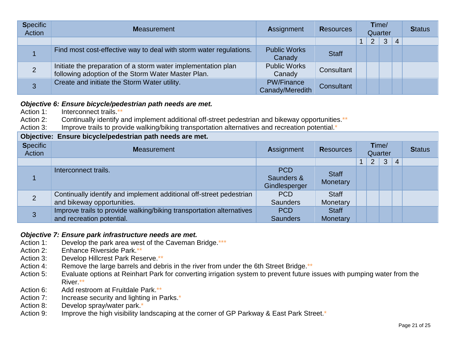| <b>Specific</b><br>Action | <b>Measurement</b>                                                                                                  | <b>Assignment</b>                    | <b>Resources</b> | Time/<br>Quarter |   |   |                | <b>Status</b> |
|---------------------------|---------------------------------------------------------------------------------------------------------------------|--------------------------------------|------------------|------------------|---|---|----------------|---------------|
|                           |                                                                                                                     |                                      |                  | 1.               | 2 | 3 | $\overline{4}$ |               |
|                           | Find most cost-effective way to deal with storm water regulations.                                                  | <b>Public Works</b><br>Canady        | <b>Staff</b>     |                  |   |   |                |               |
|                           | Initiate the preparation of a storm water implementation plan<br>following adoption of the Storm Water Master Plan. | <b>Public Works</b><br>Canady        | Consultant       |                  |   |   |                |               |
| 3                         | Create and initiate the Storm Water utility.                                                                        | <b>PW/Finance</b><br>Canady/Meredith | Consultant       |                  |   |   |                |               |

### *Objective 6: Ensure bicycle/pedestrian path needs are met.*

- Action 1: Interconnect trails.\*
- Action 2: Continually identify and implement additional off-street pedestrian and bikeway opportunities.\*\*
- Action 3: Improve trails to provide walking/biking transportation alternatives and recreation potential.\*

| Objective: Ensure bicycle/pedestrian path needs are met. |                                                                                                   |                                           |                          |                  |                |              |                |  |  |  |
|----------------------------------------------------------|---------------------------------------------------------------------------------------------------|-------------------------------------------|--------------------------|------------------|----------------|--------------|----------------|--|--|--|
| <b>Specific</b><br>Action                                | <b>Measurement</b>                                                                                | Assignment                                | <b>Resources</b>         | Time/<br>Quarter |                |              |                |  |  |  |
|                                                          |                                                                                                   |                                           |                          |                  | $\overline{2}$ | $\mathbf{3}$ | $\overline{4}$ |  |  |  |
|                                                          | Interconnect trails.                                                                              | <b>PCD</b><br>Saunders &<br>Gindlesperger | <b>Staff</b><br>Monetary |                  |                |              |                |  |  |  |
| 2                                                        | Continually identify and implement additional off-street pedestrian<br>and bikeway opportunities. | <b>PCD</b><br><b>Saunders</b>             | <b>Staff</b><br>Monetary |                  |                |              |                |  |  |  |
| 3                                                        | Improve trails to provide walking/biking transportation alternatives<br>and recreation potential. | <b>PCD</b><br><b>Saunders</b>             | <b>Staff</b><br>Monetary |                  |                |              |                |  |  |  |

# **Objective 7: Ensure park infrastructure needs are met.**<br>Action 1: Develop the park area west of the Caveman F

- Develop the park area west of the Caveman Bridge.\*\*\*
- Action 2: Enhance Riverside Park.\*\*
- Action 3: Develop Hillcrest Park Reserve.\*\*
- Action 4: Remove the large barrels and debris in the river from under the 6th Street Bridge.\*\*
- Action 5: Evaluate options at Reinhart Park for converting irrigation system to prevent future issues with pumping water from the River.\*\*
- Action 6: Add restroom at Fruitdale Park.\*\*
- Action 7: Increase security and lighting in Parks.\*
- Action 8: Develop spray/water park.\*
- Action 9: Improve the high visibility landscaping at the corner of GP Parkway & East Park Street.\*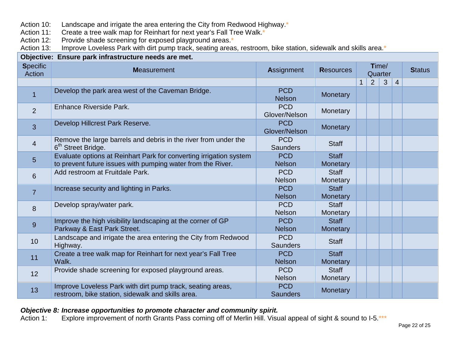Action 10: Landscape and irrigate the area entering the City from Redwood Highway.\*

Action 11: Create a tree walk map for Reinhart for next year's Fall Tree Walk.\*

Action 12: Provide shade screening for exposed playground areas.\*

Action 13: Improve Loveless Park with dirt pump track, seating areas, restroom, bike station, sidewalk and skills area.\*

| Objective: Ensure park infrastructure needs are met. |                                                                                                                                   |                               |                          |                  |   |   |                |               |  |  |
|------------------------------------------------------|-----------------------------------------------------------------------------------------------------------------------------------|-------------------------------|--------------------------|------------------|---|---|----------------|---------------|--|--|
| <b>Specific</b><br>Action                            | <b>Measurement</b>                                                                                                                | Assignment                    | <b>Resources</b>         | Time/<br>Quarter |   |   |                | <b>Status</b> |  |  |
|                                                      |                                                                                                                                   |                               |                          | $\mathbf 1$      | 2 | 3 | $\overline{4}$ |               |  |  |
|                                                      | Develop the park area west of the Caveman Bridge.                                                                                 | <b>PCD</b><br><b>Nelson</b>   | Monetary                 |                  |   |   |                |               |  |  |
| 2                                                    | Enhance Riverside Park.                                                                                                           | <b>PCD</b><br>Glover/Nelson   | Monetary                 |                  |   |   |                |               |  |  |
| $\overline{3}$                                       | Develop Hillcrest Park Reserve.                                                                                                   | <b>PCD</b><br>Glover/Nelson   | Monetary                 |                  |   |   |                |               |  |  |
| $\overline{4}$                                       | Remove the large barrels and debris in the river from under the<br>6 <sup>th</sup> Street Bridge.                                 | <b>PCD</b><br><b>Saunders</b> | <b>Staff</b>             |                  |   |   |                |               |  |  |
| $5\phantom{1}$                                       | Evaluate options at Reinhart Park for converting irrigation system<br>to prevent future issues with pumping water from the River. | <b>PCD</b><br><b>Nelson</b>   | <b>Staff</b><br>Monetary |                  |   |   |                |               |  |  |
| 6                                                    | Add restroom at Fruitdale Park.                                                                                                   | <b>PCD</b><br><b>Nelson</b>   | <b>Staff</b><br>Monetary |                  |   |   |                |               |  |  |
| $\overline{7}$                                       | Increase security and lighting in Parks.                                                                                          | <b>PCD</b><br><b>Nelson</b>   | <b>Staff</b><br>Monetary |                  |   |   |                |               |  |  |
| 8                                                    | Develop spray/water park.                                                                                                         | <b>PCD</b><br><b>Nelson</b>   | <b>Staff</b><br>Monetary |                  |   |   |                |               |  |  |
| 9                                                    | Improve the high visibility landscaping at the corner of GP<br>Parkway & East Park Street.                                        | <b>PCD</b><br><b>Nelson</b>   | <b>Staff</b><br>Monetary |                  |   |   |                |               |  |  |
| 10                                                   | Landscape and irrigate the area entering the City from Redwood<br>Highway.                                                        | <b>PCD</b><br><b>Saunders</b> | <b>Staff</b>             |                  |   |   |                |               |  |  |
| 11                                                   | Create a tree walk map for Reinhart for next year's Fall Tree<br>Walk.                                                            | <b>PCD</b><br><b>Nelson</b>   | <b>Staff</b><br>Monetary |                  |   |   |                |               |  |  |
| 12                                                   | Provide shade screening for exposed playground areas.                                                                             | <b>PCD</b><br><b>Nelson</b>   | <b>Staff</b><br>Monetary |                  |   |   |                |               |  |  |
| 13                                                   | Improve Loveless Park with dirt pump track, seating areas,<br>restroom, bike station, sidewalk and skills area.                   | <b>PCD</b><br><b>Saunders</b> | Monetary                 |                  |   |   |                |               |  |  |

# **Objective 8: Increase opportunities to promote character and community spirit.**<br>Action 1: Explore improvement of north Grants Pass coming off of Merlin Hill. Visu

Explore improvement of north Grants Pass coming off of Merlin Hill. Visual appeal of sight & sound to I-5.\*\*\*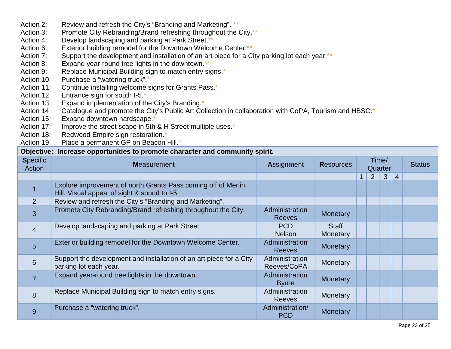- Action 2: Review and refresh the City's "Branding and Marketing". \*\*
- Action 3: Promote City Rebranding/Brand refreshing throughout the City.<sup>\*\*</sup>
- Action 4: Develop landscaping and parking at Park Street.\*\*
- Action 6: Exterior building remodel for the Downtown Welcome Center.\*\*
- Action 7: Support the development and installation of an art piece for a City parking lot each year.\*\*
- Action 8: Expand year-round tree lights in the downtown.<sup>\*\*</sup>
- Action 9: Replace Municipal Building sign to match entry signs.<sup>\*</sup>
- Action 10: Purchase a "watering truck".\*
- Action 11: Continue installing welcome signs for Grants Pass.\*
- Action 12: Entrance sign for south I-5.\*
- Action 13: Expand implementation of the City's Branding.<sup>\*</sup>
- Action 14: Catalogue and promote the City's Public Art Collection in collaboration with CoPA, Tourism and HBSC.<sup>\*</sup>
- Action 15: Expand downtown hardscape.\*
- Action 17: Improve the street scape in 5th & H Street multiple uses.<sup>\*</sup>
- Action 18: Redwood Empire sign restoration.\*
- Action 19: Place a permanent GP on Beacon Hill.\*

### **Objective: Increase opportunities to promote character and community spirit.**

| <b>Specific</b><br>Action | <b>Measurement</b>                                                                                            | <b>Assignment</b>               | <b>Resources</b>         | Time/<br>Quarter |   |              | <b>Status</b>  |  |
|---------------------------|---------------------------------------------------------------------------------------------------------------|---------------------------------|--------------------------|------------------|---|--------------|----------------|--|
|                           |                                                                                                               |                                 |                          | 1                | 2 | $\mathbf{3}$ | $\overline{4}$ |  |
|                           | Explore improvement of north Grants Pass coming off of Merlin<br>Hill. Visual appeal of sight & sound to I-5. |                                 |                          |                  |   |              |                |  |
| $\overline{2}$            | Review and refresh the City's "Branding and Marketing".                                                       |                                 |                          |                  |   |              |                |  |
| 3                         | Promote City Rebranding/Brand refreshing throughout the City.                                                 | Administration<br><b>Reeves</b> | <b>Monetary</b>          |                  |   |              |                |  |
| $\overline{4}$            | Develop landscaping and parking at Park Street.                                                               | <b>PCD</b><br><b>Nelson</b>     | <b>Staff</b><br>Monetary |                  |   |              |                |  |
| 5                         | Exterior building remodel for the Downtown Welcome Center.                                                    | Administration<br><b>Reeves</b> | <b>Monetary</b>          |                  |   |              |                |  |
| $\,6$                     | Support the development and installation of an art piece for a City<br>parking lot each year.                 | Administration<br>Reeves/CoPA   | Monetary                 |                  |   |              |                |  |
| $\overline{7}$            | Expand year-round tree lights in the downtown.                                                                | Administration<br><b>Byrne</b>  | <b>Monetary</b>          |                  |   |              |                |  |
| 8                         | Replace Municipal Building sign to match entry signs.                                                         | Administration<br><b>Reeves</b> | Monetary                 |                  |   |              |                |  |
| 9                         | Purchase a "watering truck".                                                                                  | Administration/<br><b>PCD</b>   | <b>Monetary</b>          |                  |   |              |                |  |